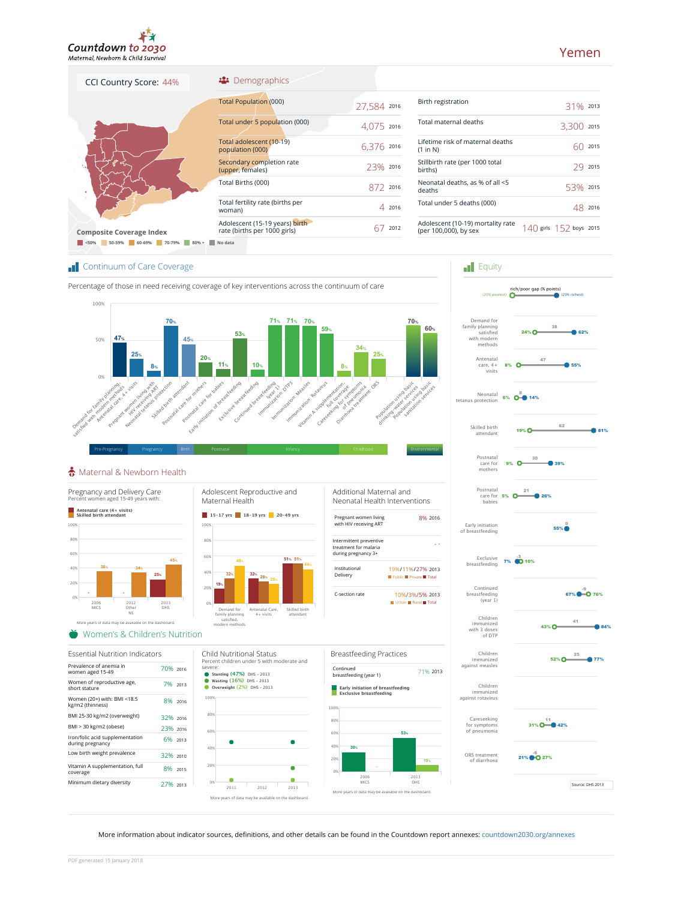

# Yemen

| CCI Country Score: 44%          | ** Demographics                                                |             |
|---------------------------------|----------------------------------------------------------------|-------------|
| K.<br>٠                         | <b>Total Population (000)</b>                                  | 27,584 2016 |
|                                 | Total under 5 population (000)                                 | 4,075 2016  |
|                                 | Total adolescent (10-19)<br>population (000)                   | 6,376 2016  |
|                                 | Secondary completion rate<br>(upper, females)                  | 23% 2016    |
|                                 | Total Births (000)                                             | 872 2016    |
| ź.                              | Total fertility rate (births per<br>woman)                     | 4 2016      |
| <b>Composite Coverage Index</b> | Adolescent (15-19 years) birth<br>rate (births per 1000 girls) | 2012<br>h   |

| Birth registration                                         | 31% 2013                    |      |
|------------------------------------------------------------|-----------------------------|------|
| Total maternal deaths                                      | 3.300                       | 2015 |
| Lifetime risk of maternal deaths<br>(1 in N)               |                             | 2015 |
| Stillbirth rate (per 1000 total<br>births)                 |                             | 2015 |
| Neonatal deaths, as % of all <5<br>deaths                  | 53%                         | 2015 |
| Total under 5 deaths (000)                                 |                             | 2016 |
| Adolescent (10-19) mortality rate<br>(per 100,000), by sex | $140$ girls $152$ boys 2015 |      |

**F**quity

Postnatal care for mothers

Skilled birth attendant

Neonatal tetanus protection

Antenatal care, 4+ visits

Demand for family planning satisfied with modern methods<br>methods

rich/poor gap (% points) (20% poorest) (20% richest)

 $8\%$   $\circ$   $\bullet$  55% 47

 $24\%$   $\bigcap_{x=0}^{30}$  62% 38

9% O 39% 30

6% O <sup>8</sup> 14%

19%  $\overline{O}$  81% 62

## **Continuum of Care Coverage**





### Maternal & Newborn Health



More information about indicator sources, definitions, and other details can be found in the Countdown report annexes: countdown2030.org/annexes